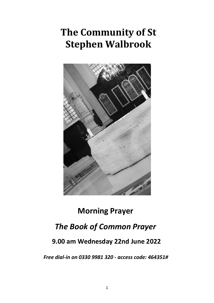# **The Community of St Stephen Walbrook**



## **Morning Prayer**

### *The Book of Common Prayer*

### **9.00 am Wednesday 22nd June 2022**

*Free dial-in on 0330 9981 320 - access code: 464351#*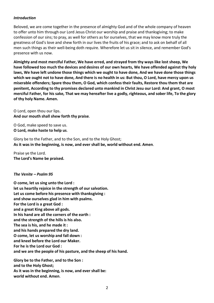#### *Introduction*

Beloved, we are come together in the presence of almighty God and of the whole company of heaven to offer unto him through our Lord Jesus Christ our worship and praise and thanksgiving; to make confession of our sins; to pray, as well for others as for ourselves, that we may know more truly the greatness of God's love and shew forth in our lives the fruits of his grace; and to ask on behalf of all men such things as their well-being doth require. Wherefore let us sit in silence, and remember God's presence with us now.

**Almighty and most merciful Father, We have erred, and strayed from thy ways like lost sheep, We have followed too much the devices and desires of our own hearts, We have offended against thy holy laws, We have left undone those things which we ought to have done, And we have done those things** which we ought not to have done, And there is no health in us: But thou, O Lord, have mercy upon us **miserable offenders; Spare thou them, O God, which confess their faults, Restore thou them that are penitent, According to thy promises declared unto mankind in Christ Jesu our Lord: And grant, O most** merciful Father, for his sake, That we may hereafter live a godly, righteous, and sober life, To the glory **of thy holy Name. Amen.**

O Lord, open thou our lips. **And our mouth shall shew forth thy praise**.

O God, make speed to save us. **O Lord, make haste to help us**.

Glory be to the Father, and to the Son, and to the Holy Ghost; **As it was in the beginning, is now, and ever shall be, world without end. Amen**.

Praise ye the Lord. **The Lord's Name be praised.**

*The Venite – Psalm 95*

**O come, let us sing unto the Lord : let us heartily rejoice in the strength of our salvation. Let us come before his presence with thanksgiving : and show ourselves glad in him with psalms. For the Lord is a great God : and a great King above all gods. In his hand are all the corners of the earth : and the strength of the hills is his also. The sea is his, and he made it : and his hands prepared the dry land. O come, let us worship and fall down : and kneel before the Lord our Maker. For he is the Lord our God : and we are the people of his pasture, and the sheep of his hand. Glory be to the Father, and to the Son : and to the Holy Ghost;**

**As it was in the beginning, is now, and ever shall be:**

**world without end. Amen**.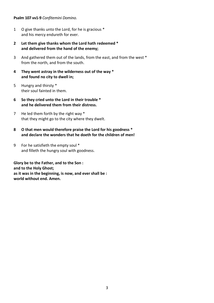#### **Psalm 107 vv1-9** *Confitemini Domino.*

- 1 O give thanks unto the Lord, for he is gracious \* and his mercy endureth for ever.
- **2 Let them give thanks whom the Lord hath redeemed \* and delivered from the hand of the enemy;**
- 3 And gathered them out of the lands, from the east, and from the west \* from the north, and from the south.
- **4 They went astray in the wilderness out of the way \* and found no city to dwell in;**
- 5 Hungry and thirsty \* their soul fainted in them.
- **6 So they cried unto the Lord in their trouble \* and he delivered them from their distress.**
- 7 He led them forth by the right way \* that they might go to the city where they dwelt.
- **8 O that men would therefore praise the Lord for his goodness \* and declare the wonders that he doeth for the children of men!**
- 9 For he satisfieth the empty soul \* and filleth the hungry soul with goodness.

**Glory be to the Father, and to the Son : and to the Holy Ghost; as it was in the beginning, is now, and ever shall be : world without end. Amen.**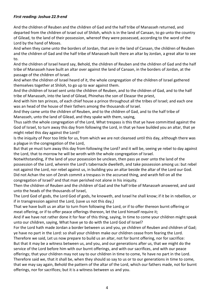#### *First reading: Joshua 22.9-end*

And the children of Reuben and the children of Gad and the half tribe of Manasseh returned, and departed from the children of Israel out of Shiloh, which is in the land of Canaan, to go unto the country of Gilead, to the land of their possession, whereof they were possessed, according to the word of the Lord by the hand of Moses.

And when they came unto the borders of Jordan, that are in the land of Canaan, the children of Reuben and the children of Gad and the half tribe of Manasseh built there an altar by Jordan, a great altar to see to.

And the children of Israel heard say, Behold, the children of Reuben and the children of Gad and the half tribe of Manasseh have built an altar over against the land of Canaan, in the borders of Jordan, at the passage of the children of Israel.

And when the children of Israel heard of it, the whole congregation of the children of Israel gathered themselves together at Shiloh, to go up to war against them.

And the children of Israel sent unto the children of Reuben, and to the children of Gad, and to the half tribe of Manasseh, into the land of Gilead, Phinehas the son of Eleazar the priest,

And with him ten princes, of each chief house a prince throughout all the tribes of Israel; and each one was an head of the house of their fathers among the thousands of Israel.

And they came unto the children of Reuben, and to the children of Gad, and to the half tribe of Manasseh, unto the land of Gilead, and they spake with them, saying,

Thus saith the whole congregation of the Lord, What trespass is this that ye have committed against the God of Israel, to turn away this day from following the Lord, in that ye have builded you an altar, that ye might rebel this day against the Lord?

Is the iniquity of Peor too little for us, from which we are not cleansed until this day, although there was a plague in the congregation of the Lord,

But that ye must turn away this day from following the Lord? and it will be, seeing ye rebel to day against the Lord, that to morrow he will be wroth with the whole congregation of Israel.

Notwithstanding, if the land of your possession be unclean, then pass ye over unto the land of the possession of the Lord, wherein the Lord's tabernacle dwelleth, and take possession among us: but rebel not against the Lord, nor rebel against us, in building you an altar beside the altar of the Lord our God. Did not Achan the son of Zerah commit a trespass in the accursed thing, and wrath fell on all the congregation of Israel? and that man perished not alone in his iniquity.

Then the children of Reuben and the children of Gad and the half tribe of Manasseh answered, and said unto the heads of the thousands of Israel,

The Lord God of gods, the Lord God of gods, he knoweth, and Israel he shall know; if it be in rebellion, or if in transgression against the Lord, (save us not this day,)

That we have built us an altar to turn from following the Lord, or if to offer thereon burnt offering or meat offering, or if to offer peace offerings thereon, let the Lord himself require it;

And if we have not rather done it for fear of this thing, saying, In time to come your children might speak unto our children, saying, What have ye to do with the Lord God of Israel?

For the Lord hath made Jordan a border between us and you, ye children of Reuben and children of Gad; ye have no part in the Lord: so shall your children make our children cease from fearing the Lord.

Therefore we said, Let us now prepare to build us an altar, not for burnt offering, nor for sacrifice: But that it may be a witness between us, and you, and our generations after us, that we might do the

service of the Lord before him with our burnt offerings, and with our sacrifices, and with our peace offerings; that your children may not say to our children in time to come, Ye have no part in the Lord. Therefore said we, that it shall be, when they should so say to us or to our generations in time to come, that we may say again, Behold the pattern of the altar of the Lord, which our fathers made, not for burnt offerings, nor for sacrifices; but it is a witness between us and you.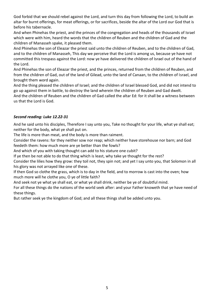God forbid that we should rebel against the Lord, and turn this day from following the Lord, to build an altar for burnt offerings, for meat offerings, or for sacrifices, beside the altar of the Lord our God that is before his tabernacle.

And when Phinehas the priest, and the princes of the congregation and heads of the thousands of Israel which were with him, heard the words that the children of Reuben and the children of Gad and the children of Manasseh spake, it pleased them.

And Phinehas the son of Eleazar the priest said unto the children of Reuben, and to the children of Gad, and to the children of Manasseh, This day we perceive that the Lord is among us, because ye have not committed this trespass against the Lord: now ye have delivered the children of Israel out of the hand of the Lord.

And Phinehas the son of Eleazar the priest, and the princes, returned from the children of Reuben, and from the children of Gad, out of the land of Gilead, unto the land of Canaan, to the children of Israel, and brought them word again.

And the thing pleased the children of Israel; and the children of Israel blessed God, and did not intend to go up against them in battle, to destroy the land wherein the children of Reuben and Gad dwelt. And the children of Reuben and the children of Gad called the altar Ed: for it shall be a witness between us that the Lord is God.

#### *Second reading: Luke 12.22-31*

And he said unto his disciples, Therefore I say unto you, Take no thought for your life, what ye shall eat; neither for the body, what ye shall put on.

The life is more than meat, and the body is more than raiment.

Consider the ravens: for they neither sow nor reap; which neither have storehouse nor barn; and God feedeth them: how much more are ye better than the fowls?

And which of you with taking thought can add to his stature one cubit?

If ye then be not able to do that thing which is least, why take ye thought for the rest?

Consider the lilies how they grow: they toil not, they spin not; and yet I say unto you, that Solomon in all his glory was not arrayed like one of these.

If then God so clothe the grass, which is to day in the field, and to morrow is cast into the oven; how much more will he clothe you, O ye of little faith?

And seek not ye what ye shall eat, or what ye shall drink, neither be ye of doubtful mind.

For all these things do the nations of the world seek after: and your Father knoweth that ye have need of these things.

But rather seek ye the kingdom of God; and all these things shall be added unto you.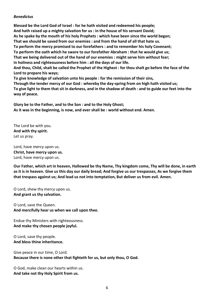#### *Benedictus*

**Blessed be the Lord God of Israel : for he hath visited and redeemed his people; And hath raised up a mighty salvation for us : in the house of his servant David; As he spake by the mouth of his holy Prophets : which have been since the world began; That we should be saved from our enemies : and from the hand of all that hate us. To perform the mercy promised to our forefathers : and to remember his holy Covenant; To perform the oath which he sware to our forefather Abraham : that he would give us; That we being delivered out of the hand of our enemies : might serve him without fear; In holiness and righteousness before him : all the days of our life.** And thou, Child, shalt be called the Prophet of the Highest : for thou shalt go before the face of the **Lord to prepare his ways; To give knowledge of salvation unto his people : for the remission of their sins, Through the tender mercy of our God : whereby the day-spring from on high hath visited us;** To give light to them that sit in darkness, and in the shadow of death : and to guide our feet into the

**way of peace. Glory be to the Father, and to the Son : and to the Holy Ghost;**

**As it was in the beginning, is now, and ever shall be : world without end. Amen.**

The Lord be with you. **And with thy spirit.**  Let us pray.

Lord, have mercy upon us. **Christ, have mercy upon us.**  Lord, have mercy upon us.

**Our Father, which art in heaven, Hallowed be thy Name, Thy kingdom come, Thy will be done, in earth** as it is in heaven. Give us this day our daily bread; And forgive us our trespasses, As we forgive them **that trespass against us; And lead us not into temptation, But deliver us from evil. Amen.**

O Lord, shew thy mercy upon us. **And grant us thy salvation.**

O Lord, save the Queen. **And mercifully hear us when we call upon thee.**

Endue thy Ministers with righteousness. **And make thy chosen people joyful.**

O Lord, save thy people. **And bless thine inheritance.**

Give peace in our time, O Lord. **Because there is none other that fighteth for us, but only thou, O God.**

O God, make clean our hearts within us. **And take not thy Holy Spirit from us.**